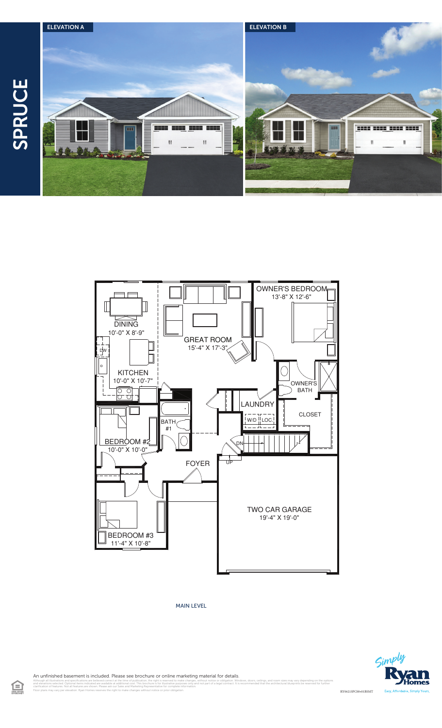



MAIN LEVEL



An unfinished basement is included. Please see brochure or online marketing material for details.

l illustrations and specifications are believed correct at the time of publication, the right is reserved to make changes, without notice or obligation. Windows, doors, cellings, and room sizes may vary depending on the op clarification of features. Not all features are shown. Please ask our Sales and Marketing Representative for complete information. Floor plans may vary per elevation. Ryan Homes reserves the right to make changes without notice or prior obligation.